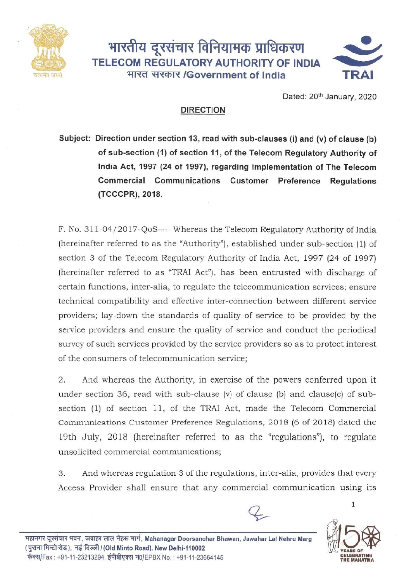



Dated: 20<sup>th</sup> January, 2020

## **DIRECTION**

**Subject: Direction under section 13, read with sub-clauses (i) and (v) of clause (b) of sub-section (1) of section 11, of the Telecom Regulatory Authority of India Act, 1997 (24 of 1997), regarding implementation of The Telecom Commercial Communications Customer Preference Regulations (TCCCPR), 2018.**

F. No. 311-04/2017 -QoS---- Whereas the Telecom Regulatory Authority of India (hereinafter referred to as the "Authority"), established under sub-section (1) of section 3 of the Telecom Regulatory Authority of India Act, 1997 (24 of 1997) (hereinafter referred to as "TRAI Act"), has been entrusted with discharge of certain functions, inter-alia, to regulate the telecommunication services; ensure technical compatibility and effective inter-connection between different service providers; lay-down the standards of quality of service to be provided by the service providers and ensure the quality of service and conduct the periodical survey of such services provided by the service providers so as to protect interest of the consumers of telecommunication service;

2. And whereas the Authority, in exercise of the powers conferred upon it under section 36, read with sub-clause (v) of clause (b) and clause(c) of subsection (1) of section 11, of the TRAI Act, made the Telecom Commercial Communications Customer Preference Regulations, 2018 (6 of 2018) dated the 19th July, 2018 (hereinafter referred to as the "regulations"), to regulate unsolicited commercial communications;

3. And whereas regulation 3 of the regulations, inter-alia, provides that every Access Provider shall ensure that any commercial communication using its



1

~ ~ 11cFI, ~ c;m;( ~ lTf1f, **Mahanagar Doorsanchar Bhawan, Jawahar LaJ Nehru Marg** (~~~), ~ ~/(Old **Minto Road), New Delhi-110002** फेक्स/Fax : +91-11-23213294, ईपीबीएक्स नं0/EPBX No. : +91-11-23664145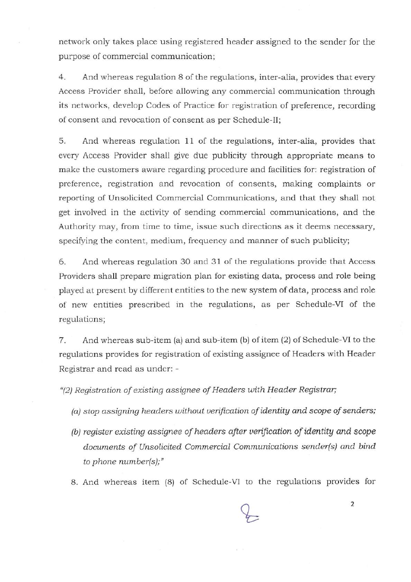network only takes place using registered header assigned to the sender for the purpose of commercial communication;

4. And whereas regulation 8 of the regulations, inter-alia, provides that every Access Provider shall, before allowing any commercial communication through its networks, develop Codes of Practice for registration of preference, recording of consent and revocation of consent as per Schedule-II;

5. And whereas regulation 11 of the regulations, inter-alia, provides that every Access Provider shall give due publicity through appropriate means to make the customers aware regarding procedure and facilities for: registration of preference, registration and revocation of consents, making complaints or reporting of Unsolicited Commercial Communications, and that they shall not get involved in the activity of sending commercial communications, and the Authority may, from time to time, issue such directions as it deems necessary, specifying the content, medium, frequency and manner of such publicity;

6. And whereas regulation 30 and 31 of the regulations provide that Access Providers shall prepare migration plan for existing data, process and role being played at present by different entities to the new system of data, process and role of new entities prescribed in the regulations, as per Schedule-VI of the regulations;

7. And whereas sub-item (a) and sub-item (b) of item (2) of Schedule-VI to the regulations provides for registration of existing assignee of Headers with Header Registrar and read as under: -

*"(2)Registration of existing assignee of Headers with Header Registrar;*

- *(a) stop assigning headers without verification of identity and scope of senders;*
- *(b) register existing assignee of headers after verification of identity and scope documents of Unsolicited Commercial Communications sender(s) and bind to phone numberls];"*
- 8. And whereas item (8) of Schedule-VI to the regulations provides for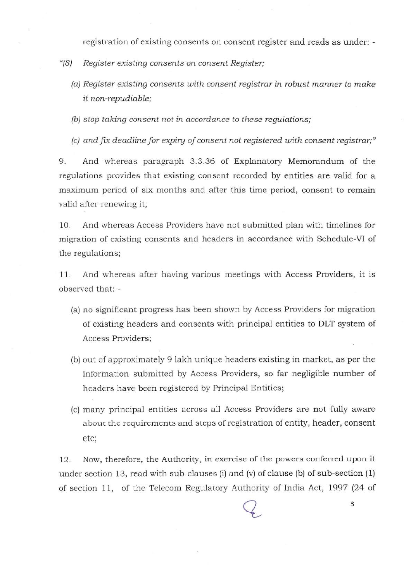registration of existing consents on consent register and reads as under: -

- *"(8) Register existing consents on consent Register;*
	- *(a)Register existing consents with consent registrar in robust manner to make it non-repudiable;*

*(b) stop taking consent not in accordance to these regulations;*

*(c) and.fix deadline for expiry of consent not registered with consent registrar;"*

9. And whereas paragraph 3.3.36 of Explanatory Memorandum of the regulations provides that existing consent recorded by entities are valid for a maximum period of six months and after this time period, consent to remain valid after renewing it;

10. And whereas Access Providers have not submitted plan with timelines for migration of existing consents and headers in accordance with Schedule-VI of the regulations;

11. And whereas after having various meetings with Access Providers, it is observed that: -

- (a) no significant progress has been shown by Access Providers for migration of existing headers and consents with principal entities to **DLT** system of Access Providers;
- (b) out of approximately 9 lakh unique headers existing in market, as per the information submitted by Access Providers, so far negligible number of headers have been registered by Principal Entities;
- (c) many principal entities across all Access Providers are not fully aware about the requirements and steps of registration of entity, header, consent etc;

12. Now, therefore, the Authority, in exercise of the powers conferred upon it under section 13, read with sub-clauses (i) and (v) of clause (b) of sub-section  $(1)$ of section 11, of the Telecom Regulatory Authority of India Act, 1997 (24 of

3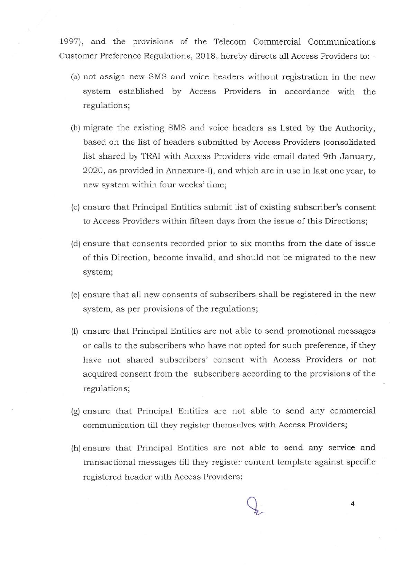1997), and the provisions of the Telecom Commercial Communications Customer Preference Regulations, 2018, hereby directs all Access Providers to: -

- (a) not assign new 8M8 and voice headers without registration in the new system established by Access Providers in accordance with the regulations;
- (b) migrate the existing 8M8 and voice headers as listed by the Authority, based on the list of headers submitted by Access Providers (consolidated list shared by TRAI with Access Providers vide email dated 9th January, 2020, as provided in Annexure-I), and which are in use in last one year, to new system within four weeks' time;
- (c) ensure that Principal Entities submit list of existing subscriber's consent to Access Providers within fifteen days from the issue of this Directions;
- (d) ensure that consents recorded prior to six months from the date of issue of this Direction, become invalid, and should not be migrated to the new system;
- (e) ensure that all new consents of subscribers shall be registered in the new system, as per provisions of the regulations;
- (f) ensure that Principal Entities are not able to send promotional messages or calls to the subscribers who have not opted for such preference, if they have not shared subscribers' consent with Access Providers or not acquired consent from the subscribers according to the provisions of the regulations;
- (g)ensure that Principal Entities are not able to send any commercial communication till they register themselves with Access Providers;
- (h)ensure that Principal Entities are not able to send any service and transactional messages till they register content template against specific registered header with Access Providers;

4